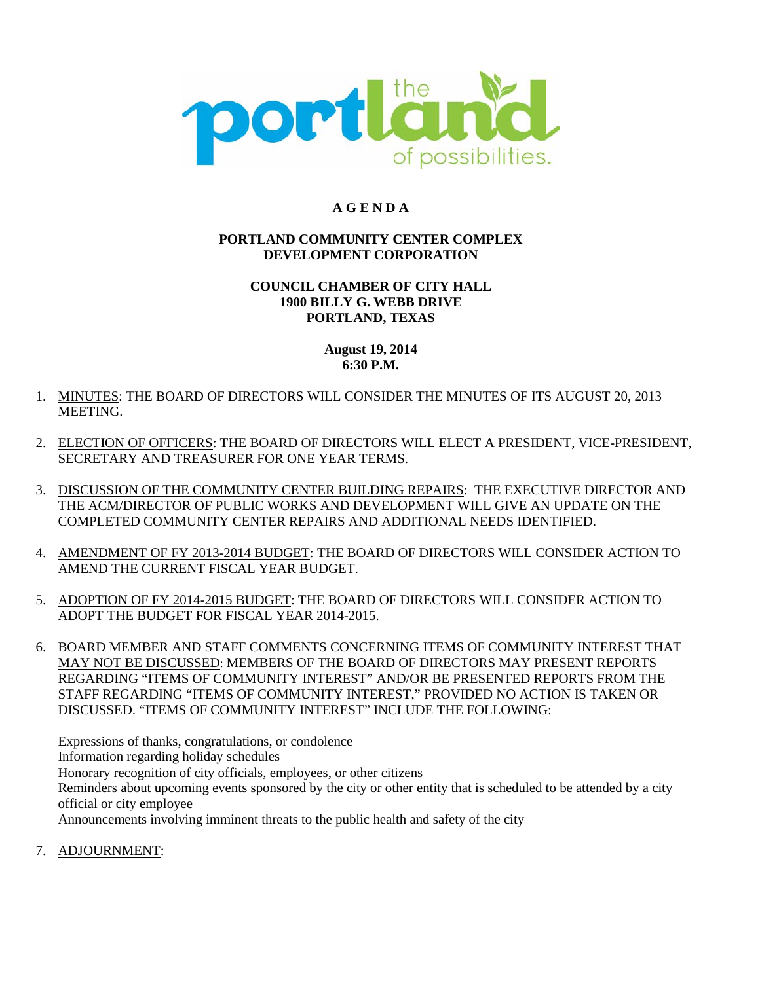

## **A G E N D A**

#### **PORTLAND COMMUNITY CENTER COMPLEX DEVELOPMENT CORPORATION**

#### **COUNCIL CHAMBER OF CITY HALL 1900 BILLY G. WEBB DRIVE PORTLAND, TEXAS**

#### **August 19, 2014 6:30 P.M.**

- 1. MINUTES: THE BOARD OF DIRECTORS WILL CONSIDER THE MINUTES OF ITS AUGUST 20, 2013 MEETING.
- 2. ELECTION OF OFFICERS: THE BOARD OF DIRECTORS WILL ELECT A PRESIDENT, VICE-PRESIDENT, SECRETARY AND TREASURER FOR ONE YEAR TERMS.
- 3. DISCUSSION OF THE COMMUNITY CENTER BUILDING REPAIRS: THE EXECUTIVE DIRECTOR AND THE ACM/DIRECTOR OF PUBLIC WORKS AND DEVELOPMENT WILL GIVE AN UPDATE ON THE COMPLETED COMMUNITY CENTER REPAIRS AND ADDITIONAL NEEDS IDENTIFIED.
- 4. AMENDMENT OF FY 2013-2014 BUDGET: THE BOARD OF DIRECTORS WILL CONSIDER ACTION TO AMEND THE CURRENT FISCAL YEAR BUDGET.
- 5. ADOPTION OF FY 2014-2015 BUDGET: THE BOARD OF DIRECTORS WILL CONSIDER ACTION TO ADOPT THE BUDGET FOR FISCAL YEAR 2014-2015.
- 6. BOARD MEMBER AND STAFF COMMENTS CONCERNING ITEMS OF COMMUNITY INTEREST THAT MAY NOT BE DISCUSSED: MEMBERS OF THE BOARD OF DIRECTORS MAY PRESENT REPORTS REGARDING "ITEMS OF COMMUNITY INTEREST" AND/OR BE PRESENTED REPORTS FROM THE STAFF REGARDING "ITEMS OF COMMUNITY INTEREST," PROVIDED NO ACTION IS TAKEN OR DISCUSSED. "ITEMS OF COMMUNITY INTEREST" INCLUDE THE FOLLOWING:

Expressions of thanks, congratulations, or condolence Information regarding holiday schedules Honorary recognition of city officials, employees, or other citizens Reminders about upcoming events sponsored by the city or other entity that is scheduled to be attended by a city official or city employee Announcements involving imminent threats to the public health and safety of the city

7. ADJOURNMENT: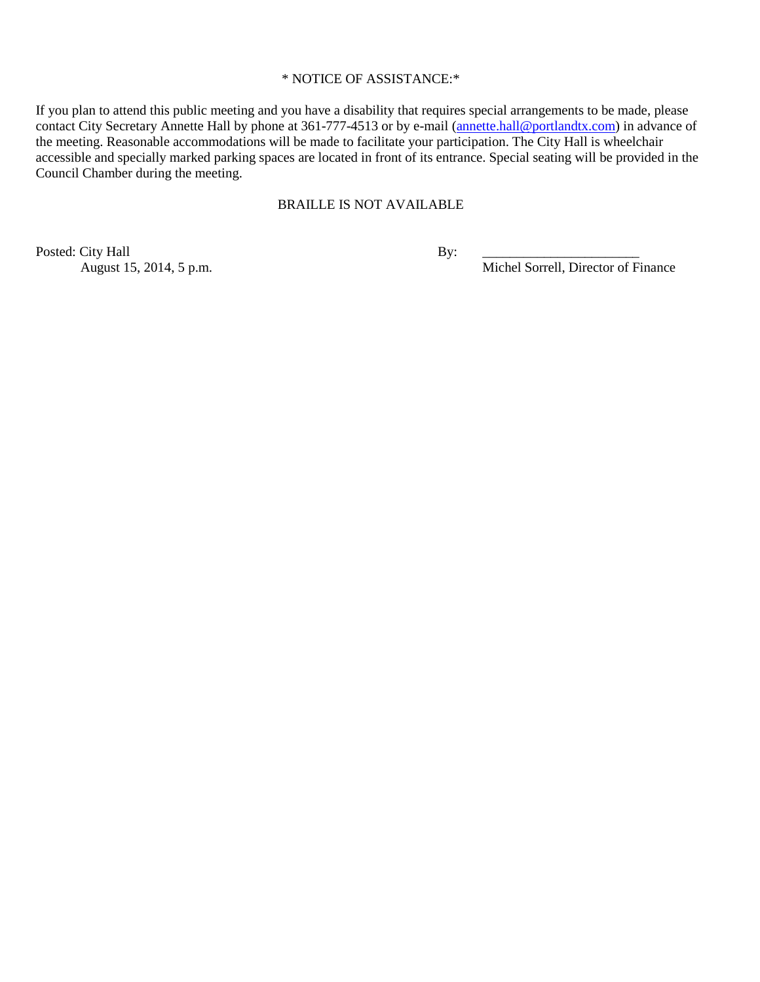#### \* NOTICE OF ASSISTANCE:\*

If you plan to attend this public meeting and you have a disability that requires special arrangements to be made, please contact City Secretary Annette Hall by phone at 361-777-4513 or by e-mail [\(annette.hall@portlandtx.com\)](mailto:annette.hall@portlandtx.com) in advance of the meeting. Reasonable accommodations will be made to facilitate your participation. The City Hall is wheelchair accessible and specially marked parking spaces are located in front of its entrance. Special seating will be provided in the Council Chamber during the meeting.

#### BRAILLE IS NOT AVAILABLE

Posted: City Hall By:<br>August 15, 2014, 5 p.m.

Michel Sorrell, Director of Finance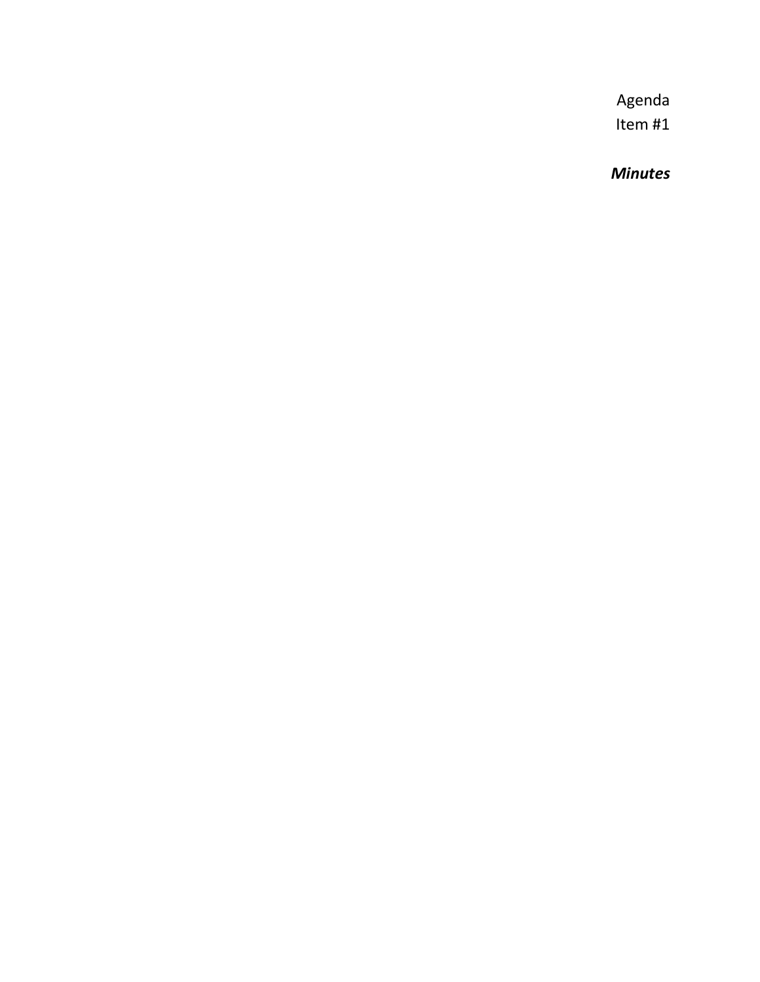*Minutes*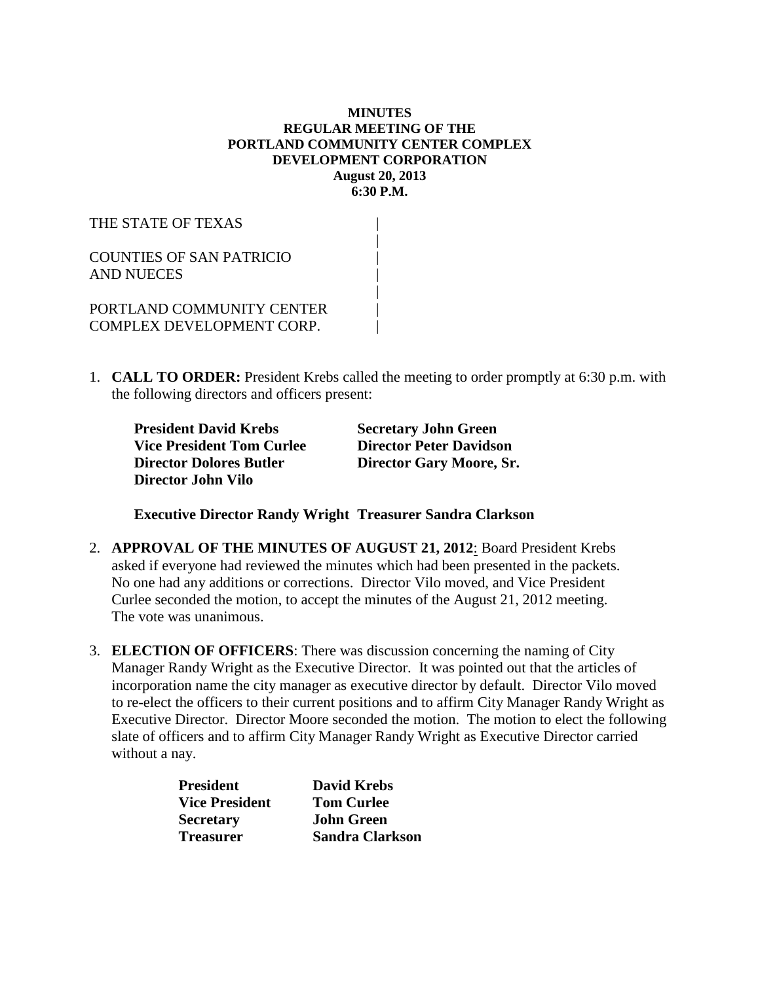#### **MINUTES REGULAR MEETING OF THE PORTLAND COMMUNITY CENTER COMPLEX DEVELOPMENT CORPORATION August 20, 2013 6:30 P.M.**

THE STATE OF TEXAS |  $\blacksquare$ COUNTIES OF SAN PATRICIO | AND NUECES |  $\blacksquare$ PORTLAND COMMUNITY CENTER | COMPLEX DEVELOPMENT CORP.

1. **CALL TO ORDER:** President Krebs called the meeting to order promptly at 6:30 p.m. with the following directors and officers present:

**President David Krebs Secretary John Green**<br> **Vice President Tom Curlee <b>Director Peter Davidson Vice President Tom Curlee Director Dolores Butler Director Gary Moore, Sr. Director John Vilo**

**Executive Director Randy Wright Treasurer Sandra Clarkson**

- 2. **APPROVAL OF THE MINUTES OF AUGUST 21, 2012**: Board President Krebs asked if everyone had reviewed the minutes which had been presented in the packets. No one had any additions or corrections. Director Vilo moved, and Vice President Curlee seconded the motion, to accept the minutes of the August 21, 2012 meeting. The vote was unanimous.
- 3. **ELECTION OF OFFICERS**: There was discussion concerning the naming of City Manager Randy Wright as the Executive Director. It was pointed out that the articles of incorporation name the city manager as executive director by default. Director Vilo moved to re-elect the officers to their current positions and to affirm City Manager Randy Wright as Executive Director. Director Moore seconded the motion. The motion to elect the following slate of officers and to affirm City Manager Randy Wright as Executive Director carried without a nay.

| <b>President</b>      | <b>David Krebs</b>     |
|-----------------------|------------------------|
| <b>Vice President</b> | <b>Tom Curlee</b>      |
| <b>Secretary</b>      | John Green             |
| <b>Treasurer</b>      | <b>Sandra Clarkson</b> |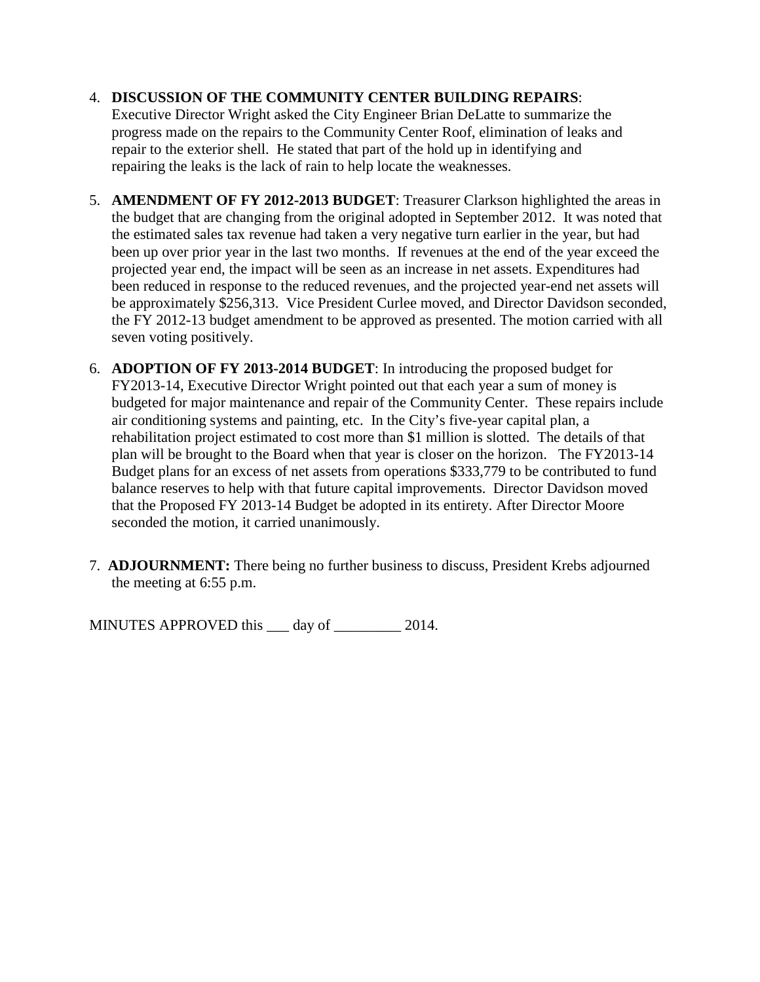### 4. **DISCUSSION OF THE COMMUNITY CENTER BUILDING REPAIRS**:

Executive Director Wright asked the City Engineer Brian DeLatte to summarize the progress made on the repairs to the Community Center Roof, elimination of leaks and repair to the exterior shell. He stated that part of the hold up in identifying and repairing the leaks is the lack of rain to help locate the weaknesses.

- 5. **AMENDMENT OF FY 2012-2013 BUDGET**: Treasurer Clarkson highlighted the areas in the budget that are changing from the original adopted in September 2012. It was noted that the estimated sales tax revenue had taken a very negative turn earlier in the year, but had been up over prior year in the last two months. If revenues at the end of the year exceed the projected year end, the impact will be seen as an increase in net assets. Expenditures had been reduced in response to the reduced revenues, and the projected year-end net assets will be approximately \$256,313. Vice President Curlee moved, and Director Davidson seconded, the FY 2012-13 budget amendment to be approved as presented. The motion carried with all seven voting positively.
- 6. **ADOPTION OF FY 2013-2014 BUDGET**: In introducing the proposed budget for FY2013-14, Executive Director Wright pointed out that each year a sum of money is budgeted for major maintenance and repair of the Community Center. These repairs include air conditioning systems and painting, etc. In the City's five-year capital plan, a rehabilitation project estimated to cost more than \$1 million is slotted. The details of that plan will be brought to the Board when that year is closer on the horizon. The FY2013-14 Budget plans for an excess of net assets from operations \$333,779 to be contributed to fund balance reserves to help with that future capital improvements. Director Davidson moved that the Proposed FY 2013-14 Budget be adopted in its entirety. After Director Moore seconded the motion, it carried unanimously.
- 7. **ADJOURNMENT:** There being no further business to discuss, President Krebs adjourned the meeting at 6:55 p.m.

MINUTES APPROVED this <u>quarely</u> day of <u>quality 2014</u>.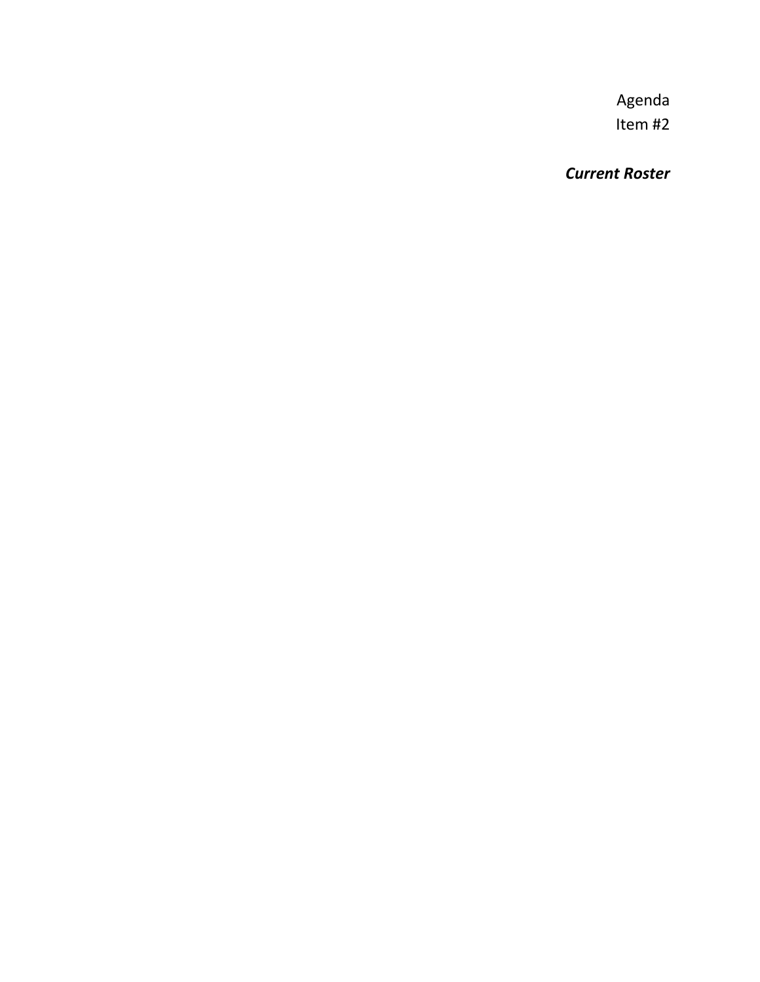*Current Roster*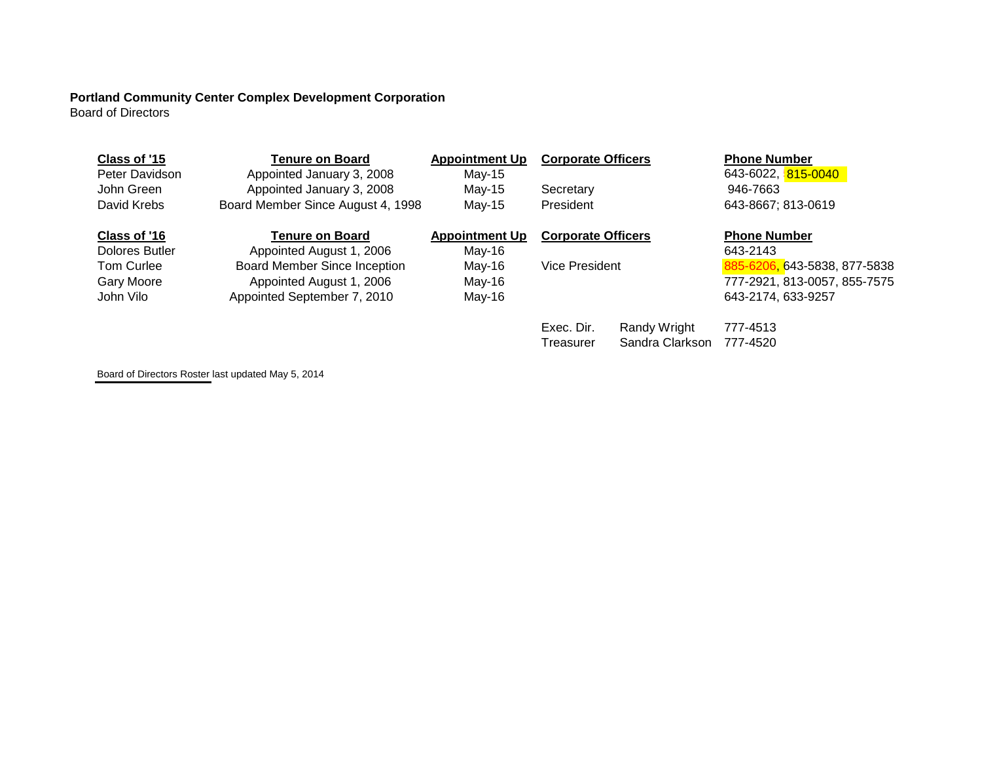# **Portland Community Center Complex Development Corporation**

Board of Directors

| Class of '15          | Tenure on Board                     | <b>Appointment Up</b> | <b>Corporate Officers</b> |                 | <b>Phone Number</b>             |
|-----------------------|-------------------------------------|-----------------------|---------------------------|-----------------|---------------------------------|
| Peter Davidson        | Appointed January 3, 2008           | May-15                |                           |                 | 643-6022, <mark>815-0040</mark> |
| John Green            | Appointed January 3, 2008           | May-15                | Secretary                 |                 | 946-7663                        |
| David Krebs           | Board Member Since August 4, 1998   | May-15                | President                 |                 | 643-8667; 813-0619              |
| Class of '16          | Tenure on Board                     | <b>Appointment Up</b> | <b>Corporate Officers</b> |                 | <b>Phone Number</b>             |
| <b>Dolores Butler</b> | Appointed August 1, 2006            | $May-16$              |                           |                 | 643-2143                        |
| Tom Curlee            | <b>Board Member Since Inception</b> | May-16                | Vice President            |                 | 643-5838, 877-5838<br>885-62    |
| Gary Moore            | Appointed August 1, 2006            | May-16                |                           |                 | 777-2921, 813-0057, 855-7575    |
| John Vilo             | Appointed September 7, 2010         | May-16                |                           |                 | 643-2174, 633-9257              |
|                       |                                     |                       | Exec. Dir.                | Randy Wright    | 777-4513                        |
|                       |                                     |                       | Treasurer                 | Sandra Clarkson | 777-4520                        |

Board of Directors Roster last updated May 5, 2014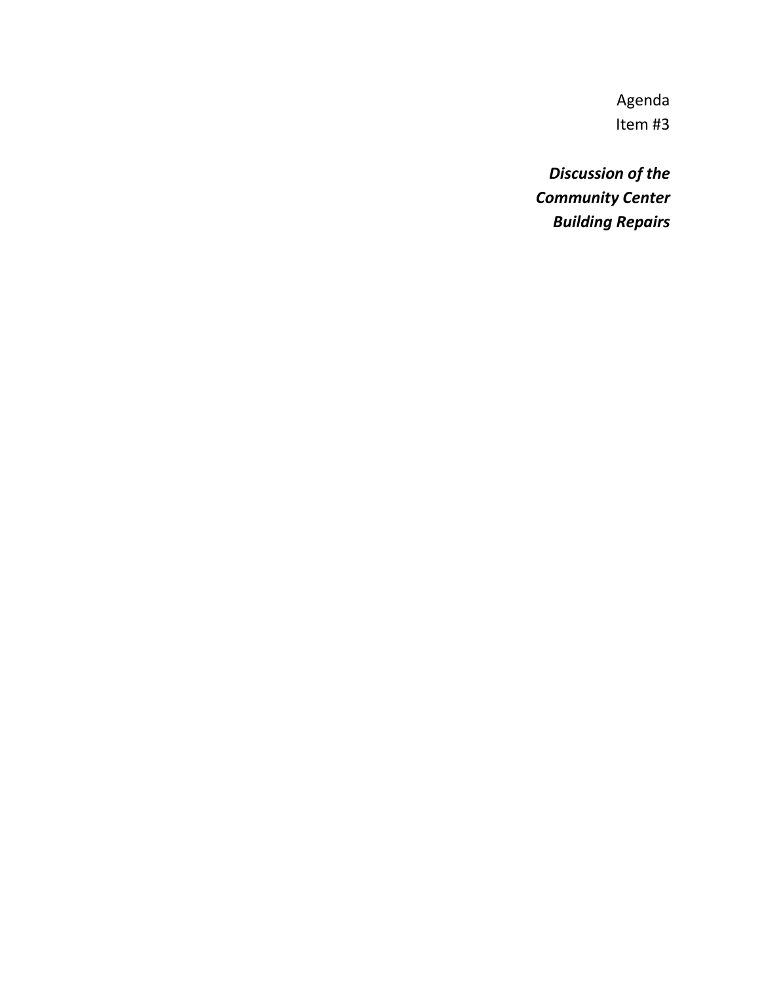*Discussion of the Community Center Building Repairs*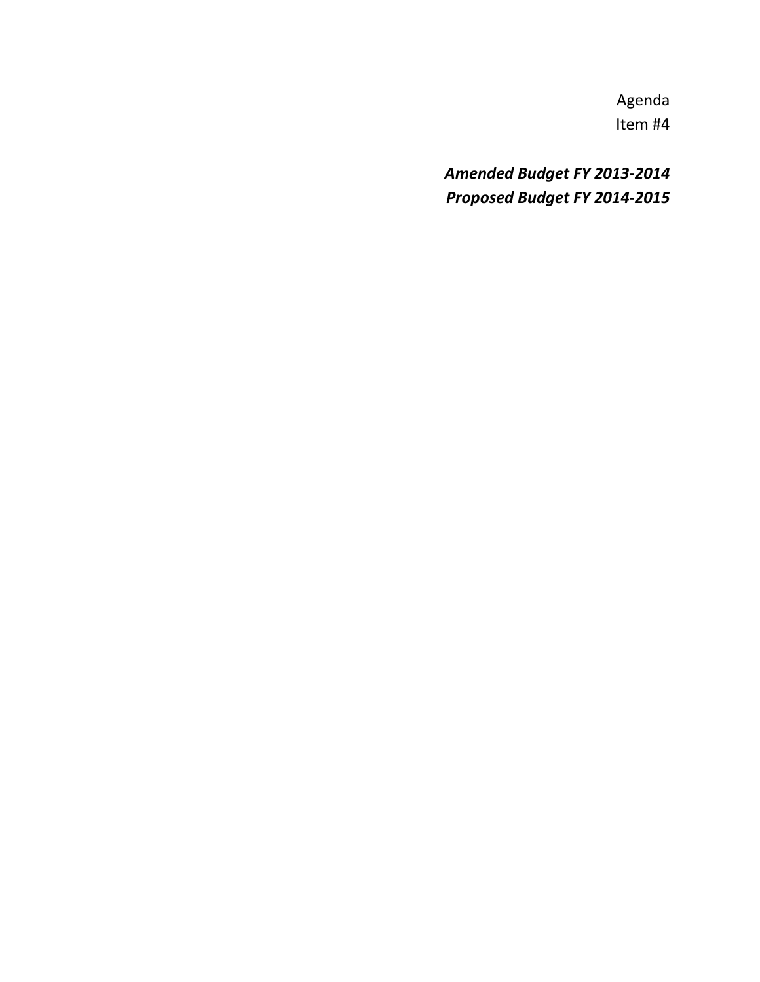*Amended Budget FY 2013-2014 Proposed Budget FY 2014-2015*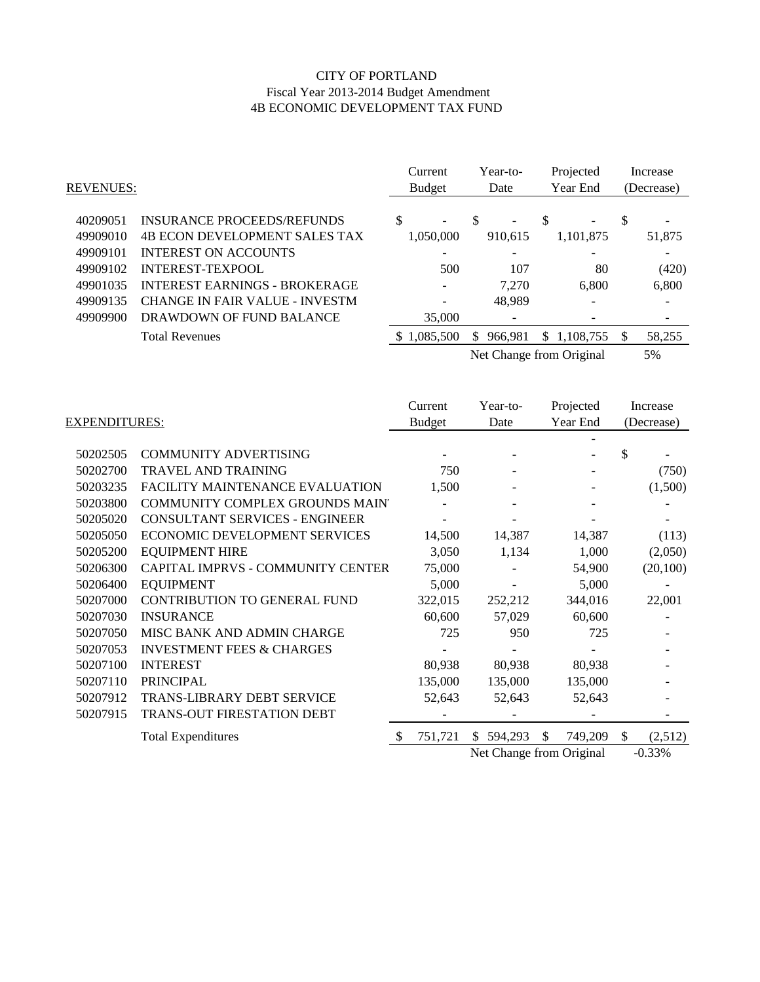#### CITY OF PORTLAND Fiscal Year 2013-2014 Budget Amendment 4B ECONOMIC DEVELOPMENT TAX FUND

| <b>REVENUES:</b>     |                                                        | Current<br><b>Budget</b> |     | Year-to-<br>Date         |    | Projected<br>Year End |    | Increase<br>(Decrease) |
|----------------------|--------------------------------------------------------|--------------------------|-----|--------------------------|----|-----------------------|----|------------------------|
| 40209051             | INSURANCE PROCEEDS/REFUNDS                             | \$<br>۰                  | -S  |                          | S  |                       | \$ |                        |
| 49909010             | <b>4B ECON DEVELOPMENT SALES TAX</b>                   | 1,050,000                |     | 910.615                  |    | 1,101,875             |    | 51,875                 |
| 49909101<br>49909102 | <b>INTEREST ON ACCOUNTS</b><br><b>INTEREST-TEXPOOL</b> | 500                      |     | 107                      |    | 80                    |    | (420)                  |
| 49901035             | <b>INTEREST EARNINGS - BROKERAGE</b>                   | ٠                        |     | 7.270                    |    | 6.800                 |    | 6,800                  |
| 49909135             | <b>CHANGE IN FAIR VALUE - INVESTM</b>                  |                          |     | 48.989                   |    |                       |    |                        |
| 49909900             | DRAWDOWN OF FUND BALANCE                               | 35,000                   |     |                          |    |                       |    |                        |
|                      | <b>Total Revenues</b>                                  | 1,085,500<br><b>S</b>    | \$. | 966.981                  | \$ | 1,108,755             | S. | 58,255                 |
|                      |                                                        |                          |     | Net Change from Original |    |                       |    | 5%                     |

|                      |                                        |    | Current       |     | Year-to-                 | Projected     |               | Increase   |
|----------------------|----------------------------------------|----|---------------|-----|--------------------------|---------------|---------------|------------|
| <b>EXPENDITURES:</b> |                                        |    | <b>Budget</b> |     | Date                     | Year End      |               | (Decrease) |
|                      |                                        |    |               |     |                          |               |               |            |
| 50202505             | <b>COMMUNITY ADVERTISING</b>           |    |               |     |                          |               | \$            |            |
| 50202700             | <b>TRAVEL AND TRAINING</b>             |    | 750           |     |                          |               |               | (750)      |
| 50203235             | <b>FACILITY MAINTENANCE EVALUATION</b> |    | 1,500         |     |                          |               |               | (1,500)    |
| 50203800             | COMMUNITY COMPLEX GROUNDS MAIN'        |    |               |     |                          |               |               |            |
| 50205020             | <b>CONSULTANT SERVICES - ENGINEER</b>  |    |               |     |                          |               |               |            |
| 50205050             | ECONOMIC DEVELOPMENT SERVICES          |    | 14,500        |     | 14,387                   | 14,387        |               | (113)      |
| 50205200             | <b>EQUIPMENT HIRE</b>                  |    | 3,050         |     | 1,134                    | 1,000         |               | (2,050)    |
| 50206300             | CAPITAL IMPRVS - COMMUNITY CENTER      |    | 75,000        |     |                          | 54,900        |               | (20,100)   |
| 50206400             | <b>EQUIPMENT</b>                       |    | 5,000         |     |                          | 5,000         |               |            |
| 50207000             | CONTRIBUTION TO GENERAL FUND           |    | 322,015       |     | 252,212                  | 344,016       |               | 22,001     |
| 50207030             | <b>INSURANCE</b>                       |    | 60,600        |     | 57,029                   | 60,600        |               |            |
| 50207050             | MISC BANK AND ADMIN CHARGE             |    | 725           |     | 950                      | 725           |               |            |
| 50207053             | <b>INVESTMENT FEES &amp; CHARGES</b>   |    |               |     |                          |               |               |            |
| 50207100             | <b>INTEREST</b>                        |    | 80,938        |     | 80,938                   | 80,938        |               |            |
| 50207110             | <b>PRINCIPAL</b>                       |    | 135,000       |     | 135,000                  | 135,000       |               |            |
| 50207912             | <b>TRANS-LIBRARY DEBT SERVICE</b>      |    | 52,643        |     | 52,643                   | 52,643        |               |            |
| 50207915             | TRANS-OUT FIRESTATION DEBT             |    |               |     |                          |               |               |            |
|                      | <b>Total Expenditures</b>              | -S | 751,721       | \$. | 594,293                  | \$<br>749,209 | <sup>\$</sup> | (2,512)    |
|                      |                                        |    |               |     | Net Change from Original |               |               | $-0.33%$   |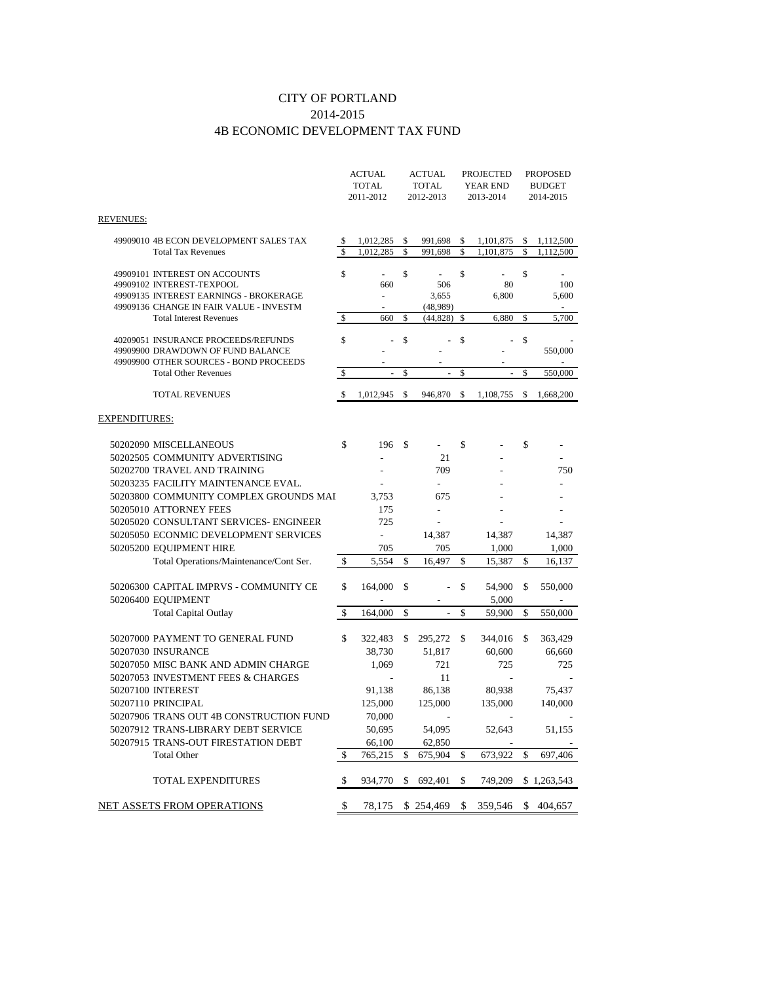#### CITY OF PORTLAND 2014-2015 4B ECONOMIC DEVELOPMENT TAX FUND

|                                                                                                                                                 |                                | <b>ACTUAL</b><br><b>TOTAL</b><br>2011-2012 |          | ACTUAL<br><b>TOTAL</b><br>2012-2013 |          | PROJECTED<br>YEAR END<br>2013-2014 |             | PROPOSED<br><b>BUDGET</b><br>2014-2015 |
|-------------------------------------------------------------------------------------------------------------------------------------------------|--------------------------------|--------------------------------------------|----------|-------------------------------------|----------|------------------------------------|-------------|----------------------------------------|
| <b>REVENUES:</b>                                                                                                                                |                                |                                            |          |                                     |          |                                    |             |                                        |
| 49909010 4B ECON DEVELOPMENT SALES TAX<br><b>Total Tax Revenues</b>                                                                             | \$<br>$\overline{\mathcal{S}}$ | 1,012,285<br>1,012,285                     | \$<br>\$ | 991,698<br>991,698                  | \$<br>\$ | 1,101,875<br>1,101,875             | \$<br>\$    | 1,112,500<br>1,112,500                 |
| 49909101 INTEREST ON ACCOUNTS<br>49909102 INTEREST-TEXPOOL<br>49909135 INTEREST EARNINGS - BROKERAGE<br>49909136 CHANGE IN FAIR VALUE - INVESTM | \$                             | 660<br>$\overline{a}$                      | \$       | 506<br>3,655<br>(48,989)            | \$       | 80<br>6,800                        | \$          | 100<br>5,600                           |
| <b>Total Interest Revenues</b>                                                                                                                  | \$                             | 660                                        | \$       | (44, 828)                           | \$       | 6,880                              | \$          | 5,700                                  |
| 40209051 INSURANCE PROCEEDS/REFUNDS<br>49909900 DRAWDOWN OF FUND BALANCE<br>49909900 OTHER SOURCES - BOND PROCEEDS                              | \$                             |                                            | \$       |                                     | \$       |                                    | $\$$        | 550,000                                |
| <b>Total Other Revenues</b>                                                                                                                     | \$                             | ÷,                                         | \$       | $\overline{\phantom{a}}$            | \$       |                                    | $\mathbf S$ | 550,000                                |
| <b>TOTAL REVENUES</b>                                                                                                                           | $\mathbb{S}$                   | 1,012,945                                  | \$       | 946,870                             | \$       | 1,108,755                          | \$          | 1,668,200                              |
| EXPENDITURES:                                                                                                                                   |                                |                                            |          |                                     |          |                                    |             |                                        |
| 50202090 MISCELLANEOUS<br>50202505 COMMUNITY ADVERTISING<br>50202700 TRAVEL AND TRAINING<br>50203235 FACILITY MAINTENANCE EVAL.                 | \$                             | 196                                        | \$       | 21<br>709<br>$\overline{a}$         | \$       |                                    | \$          | 750                                    |
| 50203800 COMMUNITY COMPLEX GROUNDS MAI<br>50205010 ATTORNEY FEES                                                                                |                                | 3,753<br>175                               |          | 675<br>$\overline{a}$               |          |                                    |             |                                        |
| 50205020 CONSULTANT SERVICES- ENGINEER<br>50205050 ECONMIC DEVELOPMENT SERVICES<br>50205200 EQUIPMENT HIRE                                      |                                | 725<br>$\blacksquare$<br>705               |          | 14,387<br>705                       |          | 14,387<br>1,000                    |             | 14,387<br>1,000                        |
| Total Operations/Maintenance/Cont Ser.                                                                                                          | \$                             | 5,554                                      | \$       | 16,497                              | \$       | 15,387                             | \$          | 16,137                                 |
| 50206300 CAPITAL IMPRVS - COMMUNITY CE<br>50206400 EQUIPMENT                                                                                    | \$                             | 164,000                                    | \$       |                                     | \$       | 54,900<br>5,000                    | \$          | 550,000                                |
| <b>Total Capital Outlay</b>                                                                                                                     | \$                             | 164,000                                    | \$       |                                     | \$       | 59,900                             | \$          | 550,000                                |
| 50207000 PAYMENT TO GENERAL FUND<br>50207030 INSURANCE                                                                                          | \$                             | 322,483<br>38,730                          | \$       | 295,272<br>51,817                   | \$       | 344,016<br>60,600                  | \$          | 363,429<br>66,660                      |
| 50207050 MISC BANK AND ADMIN CHARGE<br>50207053 INVESTMENT FEES & CHARGES                                                                       |                                | 1,069                                      |          | 721<br>11                           |          | 725                                |             | 725                                    |
| 50207100 INTEREST<br>50207110 PRINCIPAL                                                                                                         |                                | 91,138<br>125,000                          |          | 86,138<br>125,000                   |          | 80,938<br>135,000                  |             | 75,437<br>140,000                      |
| 50207906 TRANS OUT 4B CONSTRUCTION FUND<br>50207912 TRANS-LIBRARY DEBT SERVICE<br>50207915 TRANS-OUT FIRESTATION DEBT                           |                                | 70,000<br>50,695<br>66,100                 |          | 54,095<br>62,850                    |          | 52,643<br>L,                       |             | 51,155                                 |
| <b>Total Other</b>                                                                                                                              | \$                             | 765,215                                    | \$       | 675,904                             | \$       | 673,922                            | \$          | 697,406                                |
| TOTAL EXPENDITURES                                                                                                                              | $\mathbb{S}$                   | 934,770                                    | \$       | 692,401                             | \$       | 749,209                            |             | \$1,263,543                            |
| NET ASSETS FROM OPERATIONS                                                                                                                      | \$                             | 78.175                                     |          | \$254,469                           | \$       | 359.546                            | \$          | 404,657                                |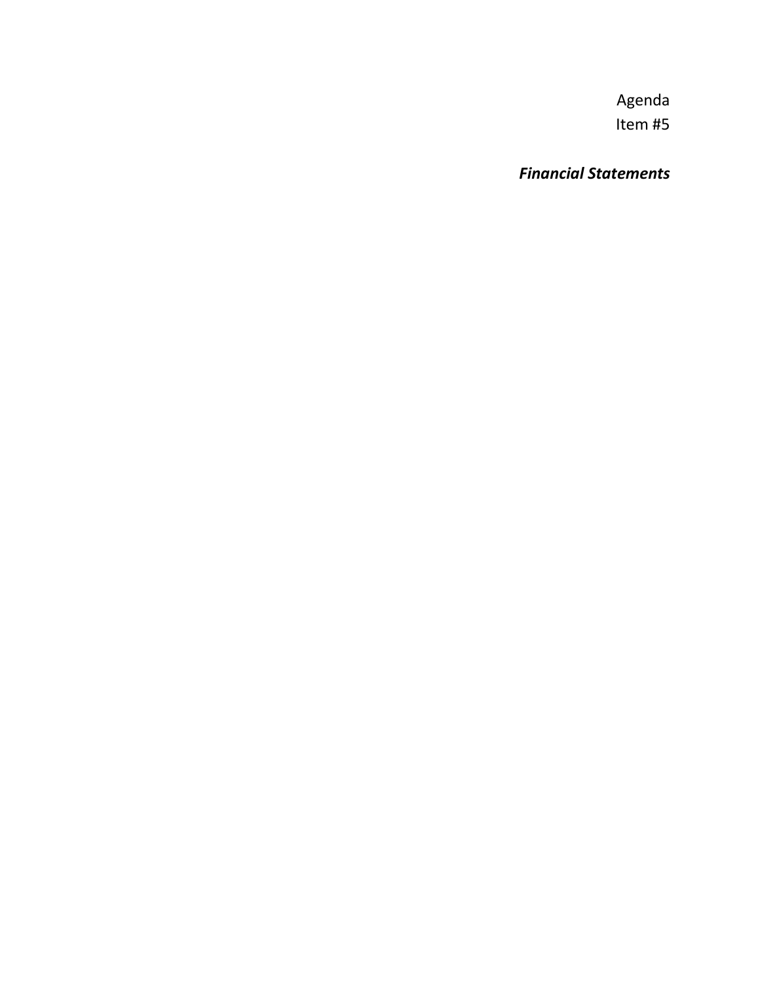*Financial Statements*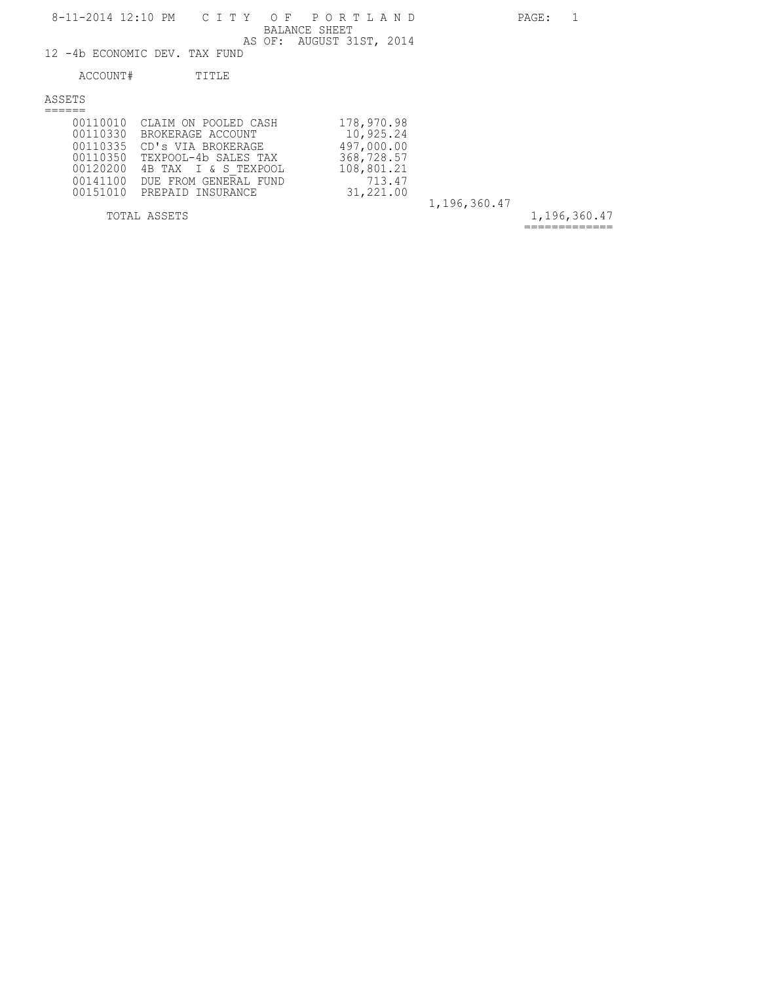12 -4b ECONOMIC DEV. TAX FUND

#### ACCOUNT# TITLE

ASSETS ======

| 00110335<br>00120200<br>00141100 | 00110010 CLAIM ON POOLED CASH<br>00110330 BROKERAGE ACCOUNT<br>CD's VIA BROKERAGE<br>00110350 TEXPOOL-4b SALES TAX<br>4B TAX I & S TEXPOOL<br>DUE FROM GENERAL FUND<br>00151010 PREPAID INSURANCE | 178,970.98<br>10,925.24<br>497,000.00<br>368,728.57<br>108,801.21<br>713.47<br>31,221.00 |              |
|----------------------------------|---------------------------------------------------------------------------------------------------------------------------------------------------------------------------------------------------|------------------------------------------------------------------------------------------|--------------|
|                                  |                                                                                                                                                                                                   |                                                                                          | 1,196,360.47 |
|                                  | TOTAL ASSETS                                                                                                                                                                                      |                                                                                          |              |

1,196,360.47 =============